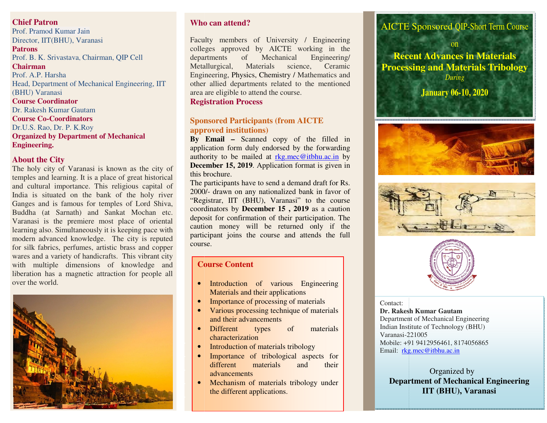# *<u>Chief Patron</u>*

Prof. Pramod Kumar Jain **Director, IIT(BHU), Varanasi** *Prof. K.P.Singh*, Director, IT, BHU **Patrons** Prof. B. K. Srivastava, Chairman, QIP Cell **Chairman Chairman** Prof. A.P. Harsha Head, Department of Mechanical Engineerin<br>
CULU V **Course Coordinator**  Head, Department of Mechanical Engineering, IIT (BHU) Varanasi Dr. Rakesh Kumar Gautam **Course Co-Coordinators**  Dr.U.S. Rao, Dr. P. K.Roy **Organized by Department of Mechanical Engineering.** 

#### **About the City**

wares and a variety of handicrafts. This vibrant city with multiple dimensions of liberation has a magnetic attraction for p over the world. The holy city of Varanasi is known as the city of temples and learning. It is a place of great historical and cultural importance. This religious capital of India is situated on the bank of the holy river Ganges and is famous for temples of Lord Shiva, Buddha (at Sarnath) and Sankat Mochan etc. Varanasi is the premiere most place of oriental learning also. Simultaneously it is keeping pace with modern advanced knowledge. The city is reputed for silk fabrics, perfumes, artistic brass and copper with multiple dimensions of knowledge and liberation has a magnetic attraction for people all



#### **Who can aattend?**

Faculty members of University / Engineering Faculty members of University / Engineering<br>colleges approved by AICTE working in the departments ofMetallurgical, Materials science, Ceramic Engineering, Physics, Chemistry / Mathematics and other allied departments related to the mentioned area are eligible to attend the course. Engineering/ of Mechanical

**Registration Process**

#### **Sponsored Participants (from AICTE approved institutions)**

 **By Email By Email –** Scanned copy of the filled in application form duly endorsed by the forwarding authority to be mailed at rkg.mec@itbhu.ac.in by **December 15 December 15, 2019**. Application format is given in this brochure.

this brochure.<br>The participants have to send a demand draft for Rs. 2000/- drawn on any nationalized bank in favor of "Registrar, IIT (BHU), Varanasi" to the course coordinators by by **December 15 , 2019** as a caution deposit for confirmation of their participation. The caution money will be returned only if the participant joins the course and attends the full course. on of their participation. The<br>be returned only if the<br>course and attends the full

#### **Course ContentCourse**

- Introduction of various Engineering Materials and their applications
- Importance of processing of materials
- • Various processing technique of materials and their advancements
- Different types of materials characterization
- Introduction of materials tribology
- • Importance of tribological aspects for their different materials and advancements
- •Mechanism of materials tribology under the different applications.

#### AICTE Sponsored QIP-Short Term Course

**Recent Advances in Materials Processing and Materials Tribology**on *During* 

**January 06-10, 2020** 







#### Contact:

**Dr. Rakesh . Kumar Gautam**  Department of Mechanical Engineering Indian Institute of Technology (BHU)Varanasi-221005Varanasi-221005<br>Mobile: +91 9412956461, 8174056865 Email: rkg.mec@itbhu.ac.in

> **Department of Mechanical Engineering** Organized by **IIT (BHU), Varanasi**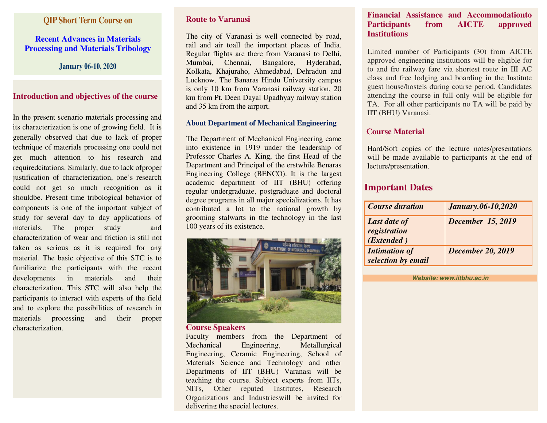### **QIP Short Term Course on**

### **Recent Advances in Materials Processing and Materials Tribology**

**January 06-10, 2020** 

### **Introduction and objectives of the course**

In the present scenario materials processing and its characterization is one of growing field. It is generally observed that due to lack of proper technique of materials processing one could not get much attention to his research and requiredcitations. Similarly, due to lack ofproper justification of characterization, one's research could not get so much recognition as it shouldbe. Present time tribological behavior of components is one of the important subject of study for several day to day applications of materials. The proper study and characterization of wear and friction is still not taken as serious as it is required for any material. The basic objective of this STC is to familiarize the participants with the recent developments in materials and theircharacterization. This STC will also help the participants to interact with experts of the field and to explore the possibilities of research in materials processing and their proper characterization.

### **Route to Varanasi**

The city of Varanasi is well connected by road, rail and air toall the important places of India. Regular flights are there from Varanasi to Delhi, Mumbai, Chennai, Bangalore, Hyderabad, Kolkata, Khajuraho, Ahmedabad, Dehradun and Lucknow. The Banaras Hindu University campus is only 10 km from Varanasi railway station, 20 km from Pt. Deen Dayal Upadhyay railway station and 35 km from the airport.

### **About Department of Mechanical Engineering**

The Department of Mechanical Engineering came into existence in 1919 under the leadership of Professor Charles A. King, the first Head of the Department and Principal of the erstwhile Benaras Engineering College (BENCO). It is the largest academic department of IIT (BHU) offering regular undergraduate, postgraduate and doctoral degree programs in all major specializations. It has contributed a lot to the national growth by grooming stalwarts in the technology in the last 100 years of its existence.



#### **Course Speakers**

 Faculty members from the Department of Mechanical Engineering, Metallurgical Engineering, Ceramic Engineering, School of Materials Science and Technology and other Departments of IIT (BHU) Varanasi will be teaching the course. Subject experts from IITs, NITs, Other reputed Institutes, Research Organizations and Industrieswill be invited for delivering the special lectures.

#### **Financial Assistance and Accommodationto** approved **Participants from AICTE Institutions**

Limited number of Participants (30) from AICTE approved engineering institutions will be eligible for to and fro railway fare via shortest route in III AC class and free lodging and boarding in the Institute guest house/hostels during course period. Candidates attending the course in full only will be eligible for TA. For all other participants no TA will be paid by IIT (BHU) Varanasi.

### **Course Material**

Hard/Soft copies of the lecture notes/presentations will be made available to participants at the end of lecture/presentation.

# **Important Dates**

| <b>Course duration</b>                            | January.06-10,2020       |
|---------------------------------------------------|--------------------------|
| <b>Last date of</b><br>registration<br>(Extended) | <b>December 15, 2019</b> |
| <b>Intimation of</b><br>selection by email        | <b>December 20, 2019</b> |

**Website: www.iitbhu.ac.in**